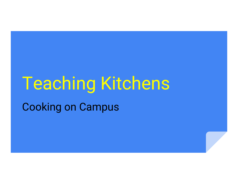# Teaching Kitchens

Cooking on Campus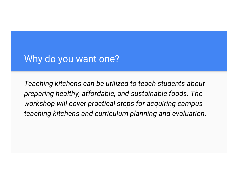#### Why do you want one?

Teaching kitchens can be utilized to teach students about preparing healthy, affordable, and sustainable foods. The workshop will cover practical steps for acquiring campus teaching kitchens and curriculum planning and evaluation.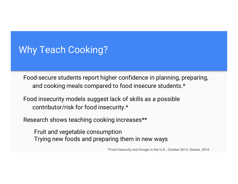### Why Teach Cooking?

Food-secure students report higher confidence in planning, preparing, and cooking meals compared to food insecure students.\*

Food insecurity models suggest lack of skills as a possible contributor/risk for food insecurity.\*

Research shows teaching cooking increases\*\*

Fruit and vegetable consumption Trying new foods and preparing them in new ways

\*Food Insecurity and Hunger in the U.S., October 2014; Gaines, 2014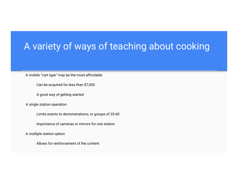#### A variety of ways of teaching about cooking

A mobile "cart type" may be the most affordable

Can be acquired for less than \$7,000

A good way of getting started

A single station operation

Limits events to demonstrations; or groups of 25-60

Importance of cameras or mirrors for one station

A multiple station option

Allows for reinforcement of the content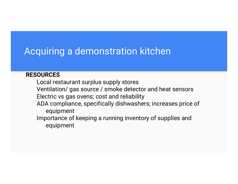## Acquiring a demonstration kitchen

#### **RESOURCES**

Local restaurant surplus supply stores Ventilation/ gas source / smoke detector and heat sensors Electric vs gas ovens; cost and reliability ADA compliance, specifically dishwashers; increases price of equipment Importance of keeping a running inventory of supplies and equipment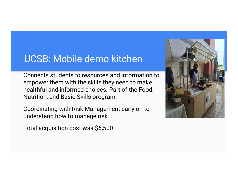### UCSB: Mobile demo kitchen

Connects students to resources and information to empower them with the skills they need to make healthful and informed choices. Part of the Food, Nutrition, and Basic Skills program.

Coordinating with Risk Management early on to understand how to manage risk.

Total acquisition cost was \$6,500

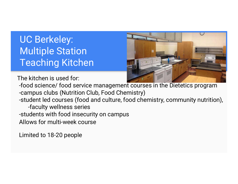# UC Berkeley: Multiple Station Teaching Kitchen



The kitchen is used for:

-food science/ food service management courses in the Dietetics program -campus clubs (Nutrition Club, Food Chemistry)

-student led courses (food and culture, food chemistry, community nutrition), -faculty wellness series

-students with food insecurity on campus

Allows for multi-week course

Limited to 18-20 people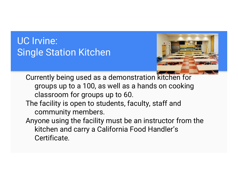## UC Irvine: Single Station Kitchen



Currently being used as a demonstration kitchen for groups up to a 100, as well as a hands on cooking classroom for groups up to 60.

- The facility is open to students, faculty, staff and community members.
- Anyone using the facility must be an instructor from the kitchen and carry a California Food Handler's Certificate.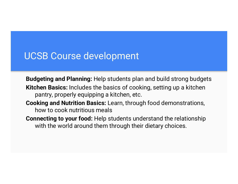#### UCSB Course development

Budgeting and Planning: Help students plan and build strong budgets Kitchen Basics: Includes the basics of cooking, setting up a kitchen pantry, properly equipping a kitchen, etc.

- Cooking and Nutrition Basics: Learn, through food demonstrations, how to cook nutritious meals
- Connecting to your food: Help students understand the relationship with the world around them through their dietary choices.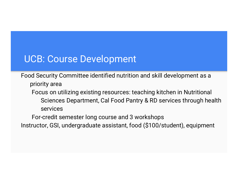#### UCB: Course Development

Food Security Committee identified nutrition and skill development as a priority area

Focus on utilizing existing resources: teaching kitchen in Nutritional Sciences Department, Cal Food Pantry & RD services through health services

For-credit semester long course and 3 workshops

Instructor, GSI, undergraduate assistant, food (\$100/student), equipment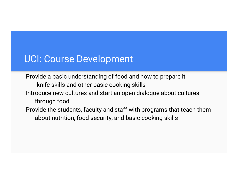#### UCI: Course Development

Provide a basic understanding of food and how to prepare it knife skills and other basic cooking skills Introduce new cultures and start an open dialogue about cultures through food Provide the students, faculty and staff with programs that teach them about nutrition, food security, and basic cooking skills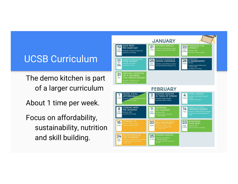The demo kitchen is part of a larger curriculum FEBRUARY

About 1 time per week.

Focus on affordability,  $\frac{1}{16}$ sustainability, nutrition and skill building.

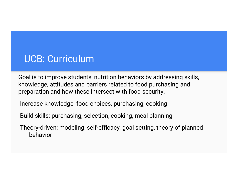### UCB: Curriculum

Goal is to improve students' nutrition behaviors by addressing skills, knowledge, attitudes and barriers related to food purchasing and preparation and how these intersect with food security.

Increase knowledge: food choices, purchasing, cooking

Build skills: purchasing, selection, cooking, meal planning

Theory-driven: modeling, self-efficacy, goal setting, theory of planned behavior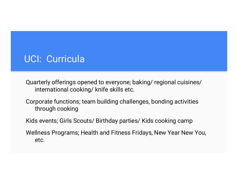#### UCI: Curricula

Quarterly offerings opened to everyone; baking/ regional cuisines/ international cooking/ knife skills etc.

Corporate functions; team building challenges, bonding activities through cooking

Kids events; Girls Scouts/ Birthday parties/ Kids cooking camp

Wellness Programs; Health and Fitness Fridays, New Year New You, etc.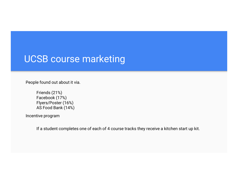#### UCSB course marketing

People found out about it via.

Friends (21%) Facebook (17%) Flyers/Poster (16%) AS Food Bank (14%)

Incentive program

If a student completes one of each of 4 course tracks they receive a kitchen start up kit.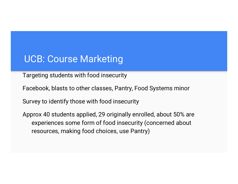#### UCB: Course Marketing

Targeting students with food insecurity

Facebook, blasts to other classes, Pantry, Food Systems minor

Survey to identify those with food insecurity

Approx 40 students applied, 29 originally enrolled, about 50% are experiences some form of food insecurity (concerned about resources, making food choices, use Pantry)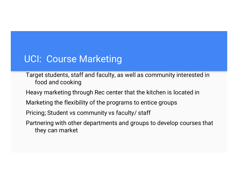#### UCI: Course Marketing

Target students, staff and faculty, as well as community interested in food and cooking

Heavy marketing through Rec center that the kitchen is located in

Marketing the flexibility of the programs to entice groups

Pricing; Student vs community vs faculty/ staff

Partnering with other departments and groups to develop courses that they can market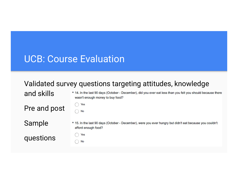#### UCB: Course Evaluation

#### Validated survey questions targeting attitudes, knowledge

 $and$  skills  $\overline{\text{3}}$  and step  $\overline{\text{3}}$  and the last 90 days (October - December), did you ever eat less than you felt you should because there wasn't enough money to buy food?

Pre and post

Sample \* 15. In the last 90 days (October - December), were you ever hungry but didn't eat because you couldn't afford enough food?

questions

- Yes
- **No**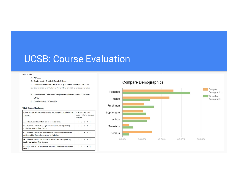#### UCSB: Course Evaluation

#### Demographics:

- B. Gender identity  $\bigcirc$  Male  $\bigcirc$  Female  $\bigcirc$  Other
- C. Currently a student at UCSB (if No, skip to the next section)  $\bigcirc$  Yes  $\bigcirc$  No
- D. Year in school  $\bigcirc$  1st  $\bigcirc$  2nd  $\bigcirc$  3rd  $\bigcirc$  4th  $\bigcirc$  Graduate  $\bigcirc$  Exchange  $\bigcirc$  Other
- E. Class in School OFreshman O Sophomore O Junior O Senior O Graduate OOther
- F. Transfer Student: O Yes O No

#### Whole-System Mindfulness:

| Please rate the relevance of following statements for you in the last<br>3 months.<br>A. I often think about where my food comes from. | 5: Always, strongly<br>agree. 1: Never, strongly<br>disagree |  |  |                     |  |
|----------------------------------------------------------------------------------------------------------------------------------------|--------------------------------------------------------------|--|--|---------------------|--|
|                                                                                                                                        |                                                              |  |  | $1 \t2 \t3 \t4 \t5$ |  |
| B. I take into account the people involved with raising/making<br>food when making food choices.                                       |                                                              |  |  | 1 2 3 4 5           |  |
| C. I take into account the environmental resources involved with<br>raising/making food when making food choices.                      |                                                              |  |  | $1 \t2 \t3 \t4 \t5$ |  |
| D. I take into account the animals involved with raising/making<br>food when making food choices.                                      |                                                              |  |  | $1 \t2 \t3 \t4 \t5$ |  |
| E. I often think about the cultural role food plays in my life and/or<br>other's.                                                      |                                                              |  |  | 1 2 3 4 5           |  |

#### **Compare Demographics**